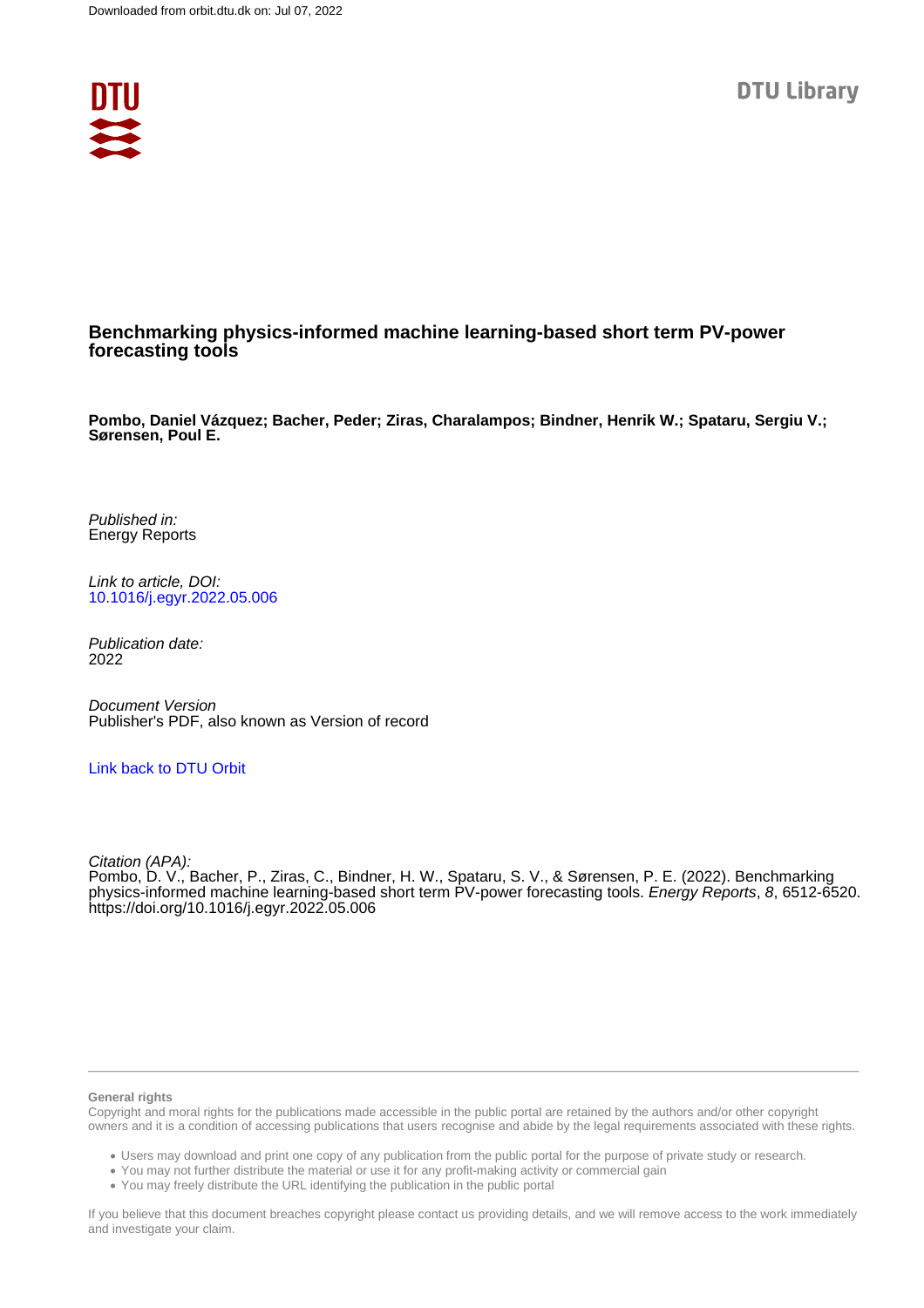

# **Benchmarking physics-informed machine learning-based short term PV-power forecasting tools**

**Pombo, Daniel Vázquez; Bacher, Peder; Ziras, Charalampos; Bindner, Henrik W.; Spataru, Sergiu V.; Sørensen, Poul E.**

Published in: Energy Reports

Link to article, DOI: [10.1016/j.egyr.2022.05.006](https://doi.org/10.1016/j.egyr.2022.05.006)

Publication date: 2022

Document Version Publisher's PDF, also known as Version of record

# [Link back to DTU Orbit](https://orbit.dtu.dk/en/publications/647bef81-a672-432e-b5c0-2f687ef565ce)

Citation (APA):

Pombo, D. V., Bacher, P., Ziras, C., Bindner, H. W., Spataru, S. V., & Sørensen, P. E. (2022). Benchmarking physics-informed machine learning-based short term PV-power forecasting tools. Energy Reports, 8, 6512-6520. <https://doi.org/10.1016/j.egyr.2022.05.006>

#### **General rights**

Copyright and moral rights for the publications made accessible in the public portal are retained by the authors and/or other copyright owners and it is a condition of accessing publications that users recognise and abide by the legal requirements associated with these rights.

Users may download and print one copy of any publication from the public portal for the purpose of private study or research.

- You may not further distribute the material or use it for any profit-making activity or commercial gain
- You may freely distribute the URL identifying the publication in the public portal

If you believe that this document breaches copyright please contact us providing details, and we will remove access to the work immediately and investigate your claim.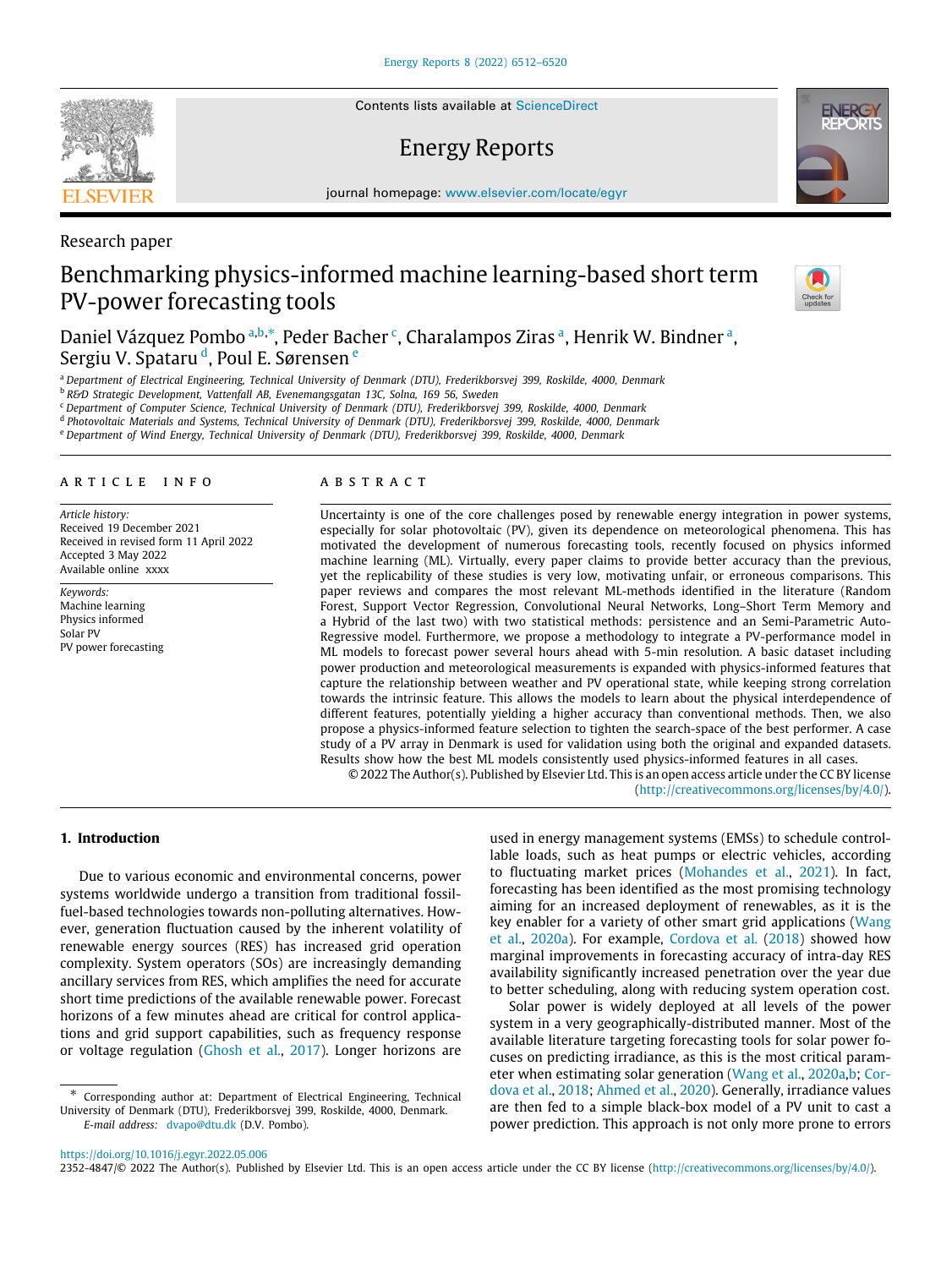Contents lists available at [ScienceDirect](http://www.elsevier.com/locate/egyr)

# Energy Reports

journal homepage: [www.elsevier.com/locate/egyr](http://www.elsevier.com/locate/egyr)

# Benchmarking physics-informed machine learning-based short term PV-power forecasting tools

D[a](#page-1-0)niel Vázquez Pom[b](#page-1-1)o ª,b,\*, Peder Ba[c](#page-1-3)her <sup>c</sup>, Charalampos Ziras ª, Henrik W. Bindner ª, Sergiu V. Spataru <sup>[d](#page-1-4)</sup>, Poul E. Sør[e](#page-1-5)nsen <sup>e</sup>

<span id="page-1-0"></span><sup>a</sup> *Department of Electrical Engineering, Technical University of Denmark (DTU), Frederikborsvej 399, Roskilde, 4000, Denmark*

<span id="page-1-1"></span><sup>b</sup> *R&D Strategic Development, Vattenfall AB, Evenemangsgatan 13C, Solna, 169 56, Sweden*

<span id="page-1-3"></span><sup>c</sup> *Department of Computer Science, Technical University of Denmark (DTU), Frederikborsvej 399, Roskilde, 4000, Denmark*

<span id="page-1-4"></span>d *Photovoltaic Materials and Systems, Technical University of Denmark (DTU), Frederikborsvej 399, Roskilde, 4000, Denmark*

<span id="page-1-5"></span><sup>e</sup> *Department of Wind Energy, Technical University of Denmark (DTU), Frederikborsvej 399, Roskilde, 4000, Denmark*

# a r t i c l e i n f o

*Article history:* Received 19 December 2021 Received in revised form 11 April 2022 Accepted 3 May 2022 Available online xxxx

*Keywords:* Machine learning Physics informed Solar PV PV power forecasting

#### A B S T R A C T

Uncertainty is one of the core challenges posed by renewable energy integration in power systems, especially for solar photovoltaic (PV), given its dependence on meteorological phenomena. This has motivated the development of numerous forecasting tools, recently focused on physics informed machine learning (ML). Virtually, every paper claims to provide better accuracy than the previous, yet the replicability of these studies is very low, motivating unfair, or erroneous comparisons. This paper reviews and compares the most relevant ML-methods identified in the literature (Random Forest, Support Vector Regression, Convolutional Neural Networks, Long–Short Term Memory and a Hybrid of the last two) with two statistical methods: persistence and an Semi-Parametric Auto-Regressive model. Furthermore, we propose a methodology to integrate a PV-performance model in ML models to forecast power several hours ahead with 5-min resolution. A basic dataset including power production and meteorological measurements is expanded with physics-informed features that capture the relationship between weather and PV operational state, while keeping strong correlation towards the intrinsic feature. This allows the models to learn about the physical interdependence of different features, potentially yielding a higher accuracy than conventional methods. Then, we also propose a physics-informed feature selection to tighten the search-space of the best performer. A case study of a PV array in Denmark is used for validation using both the original and expanded datasets. Results show how the best ML models consistently used physics-informed features in all cases.

© 2022 The Author(s). Published by Elsevier Ltd. This is an open access article under the CC BY license [\(http://creativecommons.org/licenses/by/4.0/](http://creativecommons.org/licenses/by/4.0/)).

# **1. Introduction**

Due to various economic and environmental concerns, power systems worldwide undergo a transition from traditional fossilfuel-based technologies towards non-polluting alternatives. However, generation fluctuation caused by the inherent volatility of renewable energy sources (RES) has increased grid operation complexity. System operators (SOs) are increasingly demanding ancillary services from RES, which amplifies the need for accurate short time predictions of the available renewable power. Forecast horizons of a few minutes ahead are critical for control applications and grid support capabilities, such as frequency response or voltage regulation ([Ghosh et al.,](#page-9-0) [2017\)](#page-9-0). Longer horizons are

<span id="page-1-2"></span>∗ Corresponding author at: Department of Electrical Engineering, Technical University of Denmark (DTU), Frederikborsvej 399, Roskilde, 4000, Denmark. *E-mail address:* [dvapo@dtu.dk](mailto:dvapo@dtu.dk) (D.V. Pombo).

used in energy management systems (EMSs) to schedule controllable loads, such as heat pumps or electric vehicles, according to fluctuating market prices [\(Mohandes et al.,](#page-9-1) [2021\)](#page-9-1). In fact, forecasting has been identified as the most promising technology aiming for an increased deployment of renewables, as it is the key enabler for a variety of other smart grid applications [\(Wang](#page-9-2) [et al.,](#page-9-2) [2020a\)](#page-9-2). For example, [Cordova et al.](#page-9-3) [\(2018](#page-9-3)) showed how marginal improvements in forecasting accuracy of intra-day RES availability significantly increased penetration over the year due to better scheduling, along with reducing system operation cost.

Solar power is widely deployed at all levels of the power system in a very geographically-distributed manner. Most of the available literature targeting forecasting tools for solar power focuses on predicting irradiance, as this is the most critical parameter when estimating solar generation [\(Wang et al.,](#page-9-2) [2020a](#page-9-2)[,b;](#page-9-4) [Cor](#page-9-3)[dova et al.](#page-9-3), [2018;](#page-9-3) [Ahmed et al.](#page-9-5), [2020\)](#page-9-5). Generally, irradiance values are then fed to a simple black-box model of a PV unit to cast a power prediction. This approach is not only more prone to errors

2352-4847/© 2022 The Author(s). Published by Elsevier Ltd. This is an open access article under the CC BY license [\(http://creativecommons.org/licenses/by/4.0/](http://creativecommons.org/licenses/by/4.0/)).



Research paper

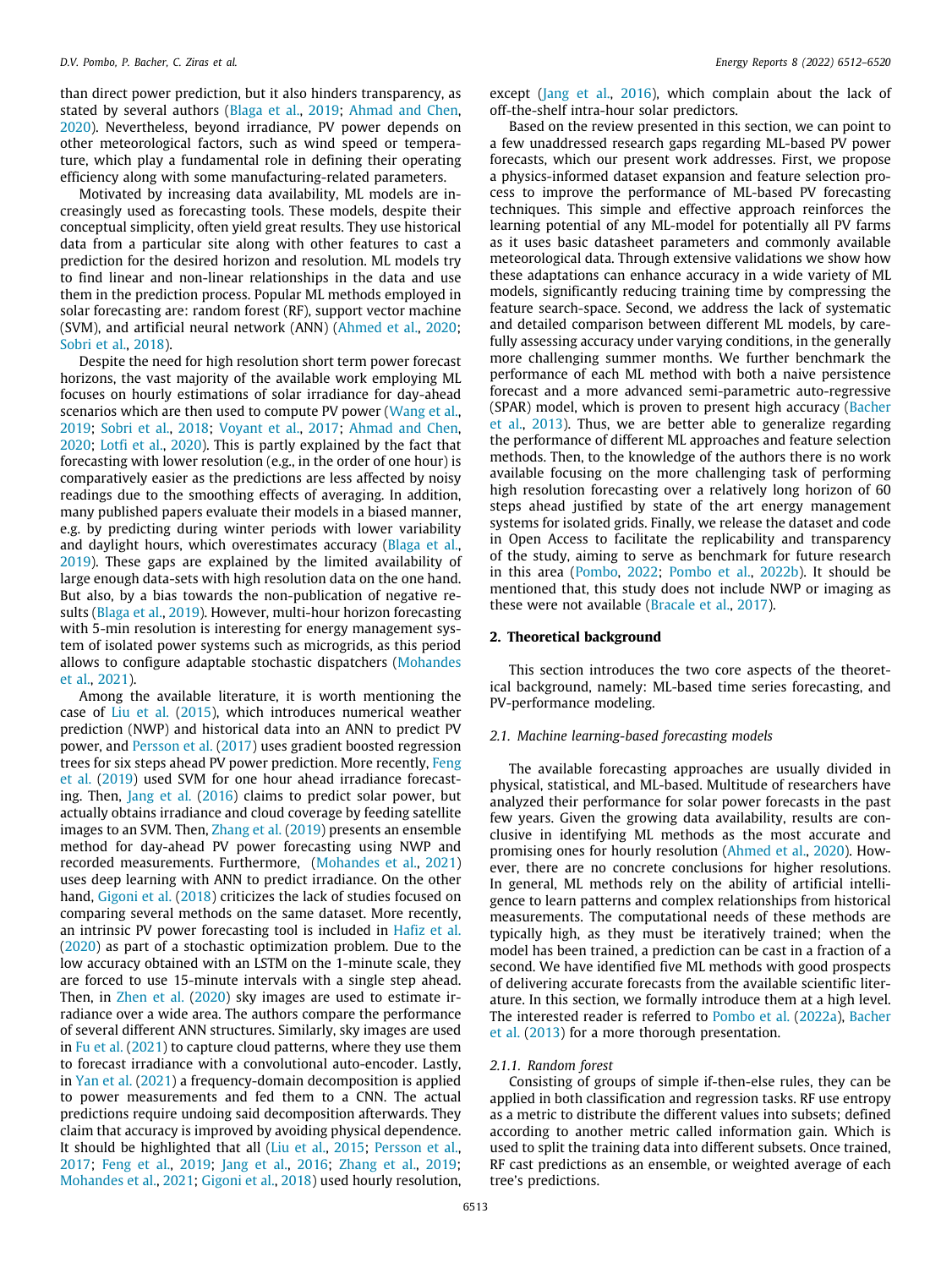than direct power prediction, but it also hinders transparency, as stated by several authors ([Blaga et al.,](#page-9-6) [2019](#page-9-6); [Ahmad and Chen,](#page-9-7) [2020\)](#page-9-7). Nevertheless, beyond irradiance, PV power depends on other meteorological factors, such as wind speed or temperature, which play a fundamental role in defining their operating efficiency along with some manufacturing-related parameters.

Motivated by increasing data availability, ML models are increasingly used as forecasting tools. These models, despite their conceptual simplicity, often yield great results. They use historical data from a particular site along with other features to cast a prediction for the desired horizon and resolution. ML models try to find linear and non-linear relationships in the data and use them in the prediction process. Popular ML methods employed in solar forecasting are: random forest (RF), support vector machine (SVM), and artificial neural network (ANN) ([Ahmed et al.,](#page-9-5) [2020;](#page-9-5) [Sobri et al.](#page-9-8), [2018\)](#page-9-8).

Despite the need for high resolution short term power forecast horizons, the vast majority of the available work employing ML focuses on hourly estimations of solar irradiance for day-ahead scenarios which are then used to compute PV power ([Wang et al.,](#page-9-9) [2019;](#page-9-9) [Sobri et al.](#page-9-8), [2018;](#page-9-8) [Voyant et al.,](#page-9-10) [2017](#page-9-10); [Ahmad and Chen,](#page-9-7) [2020;](#page-9-7) [Lotfi et al.](#page-9-11), [2020](#page-9-11)). This is partly explained by the fact that forecasting with lower resolution (e.g., in the order of one hour) is comparatively easier as the predictions are less affected by noisy readings due to the smoothing effects of averaging. In addition, many published papers evaluate their models in a biased manner, e.g. by predicting during winter periods with lower variability and daylight hours, which overestimates accuracy ([Blaga et al.,](#page-9-6) [2019\)](#page-9-6). These gaps are explained by the limited availability of large enough data-sets with high resolution data on the one hand. But also, by a bias towards the non-publication of negative results ([Blaga et al.,](#page-9-6) [2019\)](#page-9-6). However, multi-hour horizon forecasting with 5-min resolution is interesting for energy management system of isolated power systems such as microgrids, as this period allows to configure adaptable stochastic dispatchers ([Mohandes](#page-9-1) [et al.,](#page-9-1) [2021](#page-9-1)).

Among the available literature, it is worth mentioning the case of [Liu et al.](#page-9-12) [\(2015](#page-9-12)), which introduces numerical weather prediction (NWP) and historical data into an ANN to predict PV power, and [Persson et al.](#page-9-13) ([2017\)](#page-9-13) uses gradient boosted regression trees for six steps ahead PV power prediction. More recently, [Feng](#page-9-14) [et al.](#page-9-14) ([2019](#page-9-14)) used SVM for one hour ahead irradiance forecasting. Then, [Jang et al.](#page-9-15) ([2016\)](#page-9-15) claims to predict solar power, but actually obtains irradiance and cloud coverage by feeding satellite images to an SVM. Then, [Zhang et al.](#page-9-16) ([2019\)](#page-9-16) presents an ensemble method for day-ahead PV power forecasting using NWP and recorded measurements. Furthermore, ([Mohandes et al.,](#page-9-1) [2021\)](#page-9-1) uses deep learning with ANN to predict irradiance. On the other hand, [Gigoni et al.](#page-9-17) [\(2018](#page-9-17)) criticizes the lack of studies focused on comparing several methods on the same dataset. More recently, an intrinsic PV power forecasting tool is included in [Hafiz et al.](#page-9-18) ([2020\)](#page-9-18) as part of a stochastic optimization problem. Due to the low accuracy obtained with an LSTM on the 1-minute scale, they are forced to use 15-minute intervals with a single step ahead. Then, in [Zhen et al.](#page-9-19) ([2020](#page-9-19)) sky images are used to estimate irradiance over a wide area. The authors compare the performance of several different ANN structures. Similarly, sky images are used in [Fu et al.](#page-9-20) [\(2021\)](#page-9-20) to capture cloud patterns, where they use them to forecast irradiance with a convolutional auto-encoder. Lastly, in [Yan et al.](#page-9-21) [\(2021](#page-9-21)) a frequency-domain decomposition is applied to power measurements and fed them to a CNN. The actual predictions require undoing said decomposition afterwards. They claim that accuracy is improved by avoiding physical dependence. It should be highlighted that all ([Liu et al.,](#page-9-12) [2015](#page-9-12); [Persson et al.,](#page-9-13) [2017;](#page-9-13) [Feng et al.,](#page-9-14) [2019;](#page-9-14) [Jang et al.,](#page-9-15) [2016](#page-9-15); [Zhang et al.](#page-9-16), [2019;](#page-9-16) [Mohandes et al.,](#page-9-1) [2021](#page-9-1); [Gigoni et al.,](#page-9-17) [2018](#page-9-17)) used hourly resolution,

except ([Jang et al.,](#page-9-15) [2016\)](#page-9-15), which complain about the lack of off-the-shelf intra-hour solar predictors.

Based on the review presented in this section, we can point to a few unaddressed research gaps regarding ML-based PV power forecasts, which our present work addresses. First, we propose a physics-informed dataset expansion and feature selection process to improve the performance of ML-based PV forecasting techniques. This simple and effective approach reinforces the learning potential of any ML-model for potentially all PV farms as it uses basic datasheet parameters and commonly available meteorological data. Through extensive validations we show how these adaptations can enhance accuracy in a wide variety of ML models, significantly reducing training time by compressing the feature search-space. Second, we address the lack of systematic and detailed comparison between different ML models, by carefully assessing accuracy under varying conditions, in the generally more challenging summer months. We further benchmark the performance of each ML method with both a naive persistence forecast and a more advanced semi-parametric auto-regressive (SPAR) model, which is proven to present high accuracy ([Bacher](#page-9-22) [et al.,](#page-9-22) [2013](#page-9-22)). Thus, we are better able to generalize regarding the performance of different ML approaches and feature selection methods. Then, to the knowledge of the authors there is no work available focusing on the more challenging task of performing high resolution forecasting over a relatively long horizon of 60 steps ahead justified by state of the art energy management systems for isolated grids. Finally, we release the dataset and code in Open Access to facilitate the replicability and transparency of the study, aiming to serve as benchmark for future research in this area [\(Pombo,](#page-9-23) [2022;](#page-9-23) [Pombo et al.,](#page-9-24) [2022b\)](#page-9-24). It should be mentioned that, this study does not include NWP or imaging as these were not available [\(Bracale et al.,](#page-9-25) [2017\)](#page-9-25).

#### **2. Theoretical background**

This section introduces the two core aspects of the theoretical background, namely: ML-based time series forecasting, and PV-performance modeling.

# *2.1. Machine learning-based forecasting models*

The available forecasting approaches are usually divided in physical, statistical, and ML-based. Multitude of researchers have analyzed their performance for solar power forecasts in the past few years. Given the growing data availability, results are conclusive in identifying ML methods as the most accurate and promising ones for hourly resolution [\(Ahmed et al.,](#page-9-5) [2020](#page-9-5)). However, there are no concrete conclusions for higher resolutions. In general, ML methods rely on the ability of artificial intelligence to learn patterns and complex relationships from historical measurements. The computational needs of these methods are typically high, as they must be iteratively trained; when the model has been trained, a prediction can be cast in a fraction of a second. We have identified five ML methods with good prospects of delivering accurate forecasts from the available scientific literature. In this section, we formally introduce them at a high level. The interested reader is referred to [Pombo et al.](#page-9-26) [\(2022a\)](#page-9-26), [Bacher](#page-9-22) [et al.](#page-9-22) [\(2013\)](#page-9-22) for a more thorough presentation.

#### *2.1.1. Random forest*

Consisting of groups of simple if-then-else rules, they can be applied in both classification and regression tasks. RF use entropy as a metric to distribute the different values into subsets; defined according to another metric called information gain. Which is used to split the training data into different subsets. Once trained, RF cast predictions as an ensemble, or weighted average of each tree's predictions.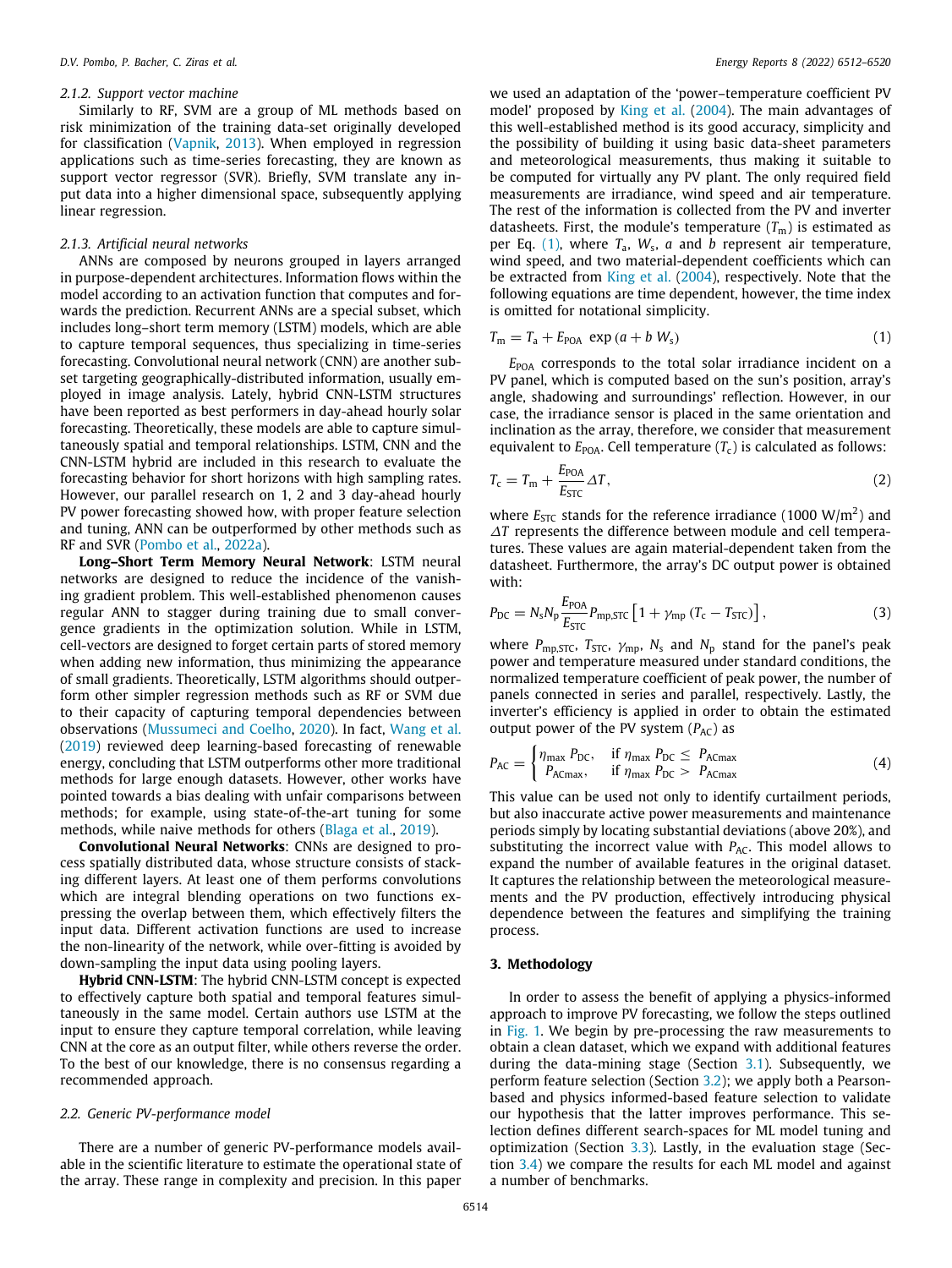#### *2.1.2. Support vector machine*

Similarly to RF, SVM are a group of ML methods based on risk minimization of the training data-set originally developed for classification ([Vapnik](#page-9-27), [2013](#page-9-27)). When employed in regression applications such as time-series forecasting, they are known as support vector regressor (SVR). Briefly, SVM translate any input data into a higher dimensional space, subsequently applying linear regression.

#### *2.1.3. Artificial neural networks*

ANNs are composed by neurons grouped in layers arranged in purpose-dependent architectures. Information flows within the model according to an activation function that computes and forwards the prediction. Recurrent ANNs are a special subset, which includes long–short term memory (LSTM) models, which are able to capture temporal sequences, thus specializing in time-series forecasting. Convolutional neural network (CNN) are another subset targeting geographically-distributed information, usually employed in image analysis. Lately, hybrid CNN-LSTM structures have been reported as best performers in day-ahead hourly solar forecasting. Theoretically, these models are able to capture simultaneously spatial and temporal relationships. LSTM, CNN and the CNN-LSTM hybrid are included in this research to evaluate the forecasting behavior for short horizons with high sampling rates. However, our parallel research on 1, 2 and 3 day-ahead hourly PV power forecasting showed how, with proper feature selection and tuning, ANN can be outperformed by other methods such as RF and SVR ([Pombo et al.,](#page-9-26) [2022a\)](#page-9-26).

**Long–Short Term Memory Neural Network**: LSTM neural networks are designed to reduce the incidence of the vanishing gradient problem. This well-established phenomenon causes regular ANN to stagger during training due to small convergence gradients in the optimization solution. While in LSTM, cell-vectors are designed to forget certain parts of stored memory when adding new information, thus minimizing the appearance of small gradients. Theoretically, LSTM algorithms should outperform other simpler regression methods such as RF or SVM due to their capacity of capturing temporal dependencies between observations [\(Mussumeci and Coelho](#page-9-28), [2020\)](#page-9-28). In fact, [Wang et al.](#page-9-9) ([2019\)](#page-9-9) reviewed deep learning-based forecasting of renewable energy, concluding that LSTM outperforms other more traditional methods for large enough datasets. However, other works have pointed towards a bias dealing with unfair comparisons between methods; for example, using state-of-the-art tuning for some methods, while naive methods for others [\(Blaga et al.,](#page-9-6) [2019\)](#page-9-6).

**Convolutional Neural Networks**: CNNs are designed to process spatially distributed data, whose structure consists of stacking different layers. At least one of them performs convolutions which are integral blending operations on two functions expressing the overlap between them, which effectively filters the input data. Different activation functions are used to increase the non-linearity of the network, while over-fitting is avoided by down-sampling the input data using pooling layers.

**Hybrid CNN-LSTM**: The hybrid CNN-LSTM concept is expected to effectively capture both spatial and temporal features simultaneously in the same model. Certain authors use LSTM at the input to ensure they capture temporal correlation, while leaving CNN at the core as an output filter, while others reverse the order. To the best of our knowledge, there is no consensus regarding a recommended approach.

#### *2.2. Generic PV-performance model*

<span id="page-3-1"></span>There are a number of generic PV-performance models available in the scientific literature to estimate the operational state of the array. These range in complexity and precision. In this paper

we used an adaptation of the 'power–temperature coefficient PV model' proposed by [King et al.](#page-9-29) [\(2004\)](#page-9-29). The main advantages of this well-established method is its good accuracy, simplicity and the possibility of building it using basic data-sheet parameters and meteorological measurements, thus making it suitable to be computed for virtually any PV plant. The only required field measurements are irradiance, wind speed and air temperature. The rest of the information is collected from the PV and inverter datasheets. First, the module's temperature  $(T<sub>m</sub>)$  is estimated as per Eq. [\(1](#page-3-0)), where *T*a, *W*<sup>s</sup> , *a* and *b* represent air temperature, wind speed, and two material-dependent coefficients which can be extracted from [King et al.](#page-9-29) [\(2004](#page-9-29)), respectively. Note that the following equations are time dependent, however, the time index is omitted for notational simplicity.

<span id="page-3-0"></span>
$$
T_m = T_a + E_{\text{POA}} \, \exp\left(a + b \, W_s\right) \tag{1}
$$

*E*<sub>POA</sub> corresponds to the total solar irradiance incident on a PV panel, which is computed based on the sun's position, array's angle, shadowing and surroundings' reflection. However, in our case, the irradiance sensor is placed in the same orientation and inclination as the array, therefore, we consider that measurement equivalent to  $E_{\text{POA}}$ . Cell temperature  $(T_c)$  is calculated as follows:

<span id="page-3-2"></span>
$$
T_{\rm c} = T_{\rm m} + \frac{E_{\rm POA}}{E_{\rm STC}} \Delta T,\tag{2}
$$

where  $E_{STC}$  stands for the reference irradiance (1000 W/m<sup>2</sup>) and ∆*T* represents the difference between module and cell temperatures. These values are again material-dependent taken from the datasheet. Furthermore, the array's DC output power is obtained with:

$$
P_{\rm DC} = N_{\rm s} N_{\rm p} \frac{E_{\rm POA}}{E_{\rm STC}} P_{\rm mp,STC} \left[ 1 + \gamma_{\rm mp} \left( T_{\rm c} - T_{\rm STC} \right) \right],\tag{3}
$$

where  $P_{\text{mp,STC}}$ ,  $T_{\text{STC}}$ ,  $\gamma_{\text{mp}}$ ,  $N_{\text{s}}$  and  $N_{\text{p}}$  stand for the panel's peak power and temperature measured under standard conditions, the normalized temperature coefficient of peak power, the number of panels connected in series and parallel, respectively. Lastly, the inverter's efficiency is applied in order to obtain the estimated output power of the PV system ( $P_{AC}$ ) as

$$
P_{AC} = \begin{cases} \eta_{\text{max}} P_{DC}, & \text{if } \eta_{\text{max}} P_{DC} \le P_{AC\text{max}} \\ P_{AC\text{max}}, & \text{if } \eta_{\text{max}} P_{DC} > P_{AC\text{max}} \end{cases}
$$
(4)

This value can be used not only to identify curtailment periods, but also inaccurate active power measurements and maintenance periods simply by locating substantial deviations (above 20%), and substituting the incorrect value with  $P_{AC}$ . This model allows to expand the number of available features in the original dataset. It captures the relationship between the meteorological measurements and the PV production, effectively introducing physical dependence between the features and simplifying the training process.

### **3. Methodology**

In order to assess the benefit of applying a physics-informed approach to improve PV forecasting, we follow the steps outlined in [Fig.](#page-4-0) [1](#page-4-0). We begin by pre-processing the raw measurements to obtain a clean dataset, which we expand with additional features during the data-mining stage (Section [3.1](#page-4-1)). Subsequently, we perform feature selection (Section [3.2](#page-4-2)); we apply both a Pearsonbased and physics informed-based feature selection to validate our hypothesis that the latter improves performance. This selection defines different search-spaces for ML model tuning and optimization (Section [3.3](#page-4-3)). Lastly, in the evaluation stage (Section [3.4](#page-4-4)) we compare the results for each ML model and against a number of benchmarks.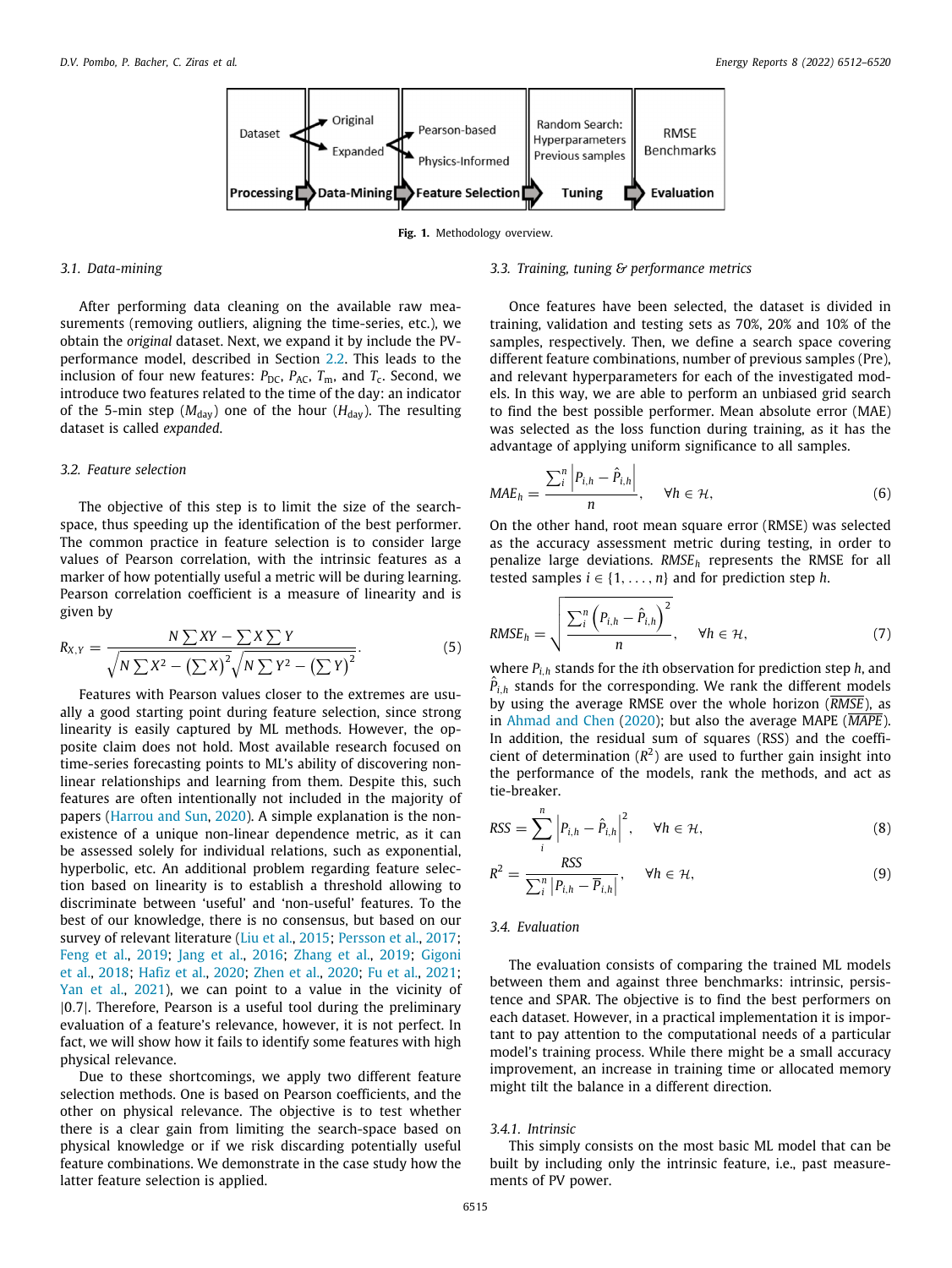**Fig. 1.** Methodology overview.

#### <span id="page-4-0"></span>*3.1. Data-mining*

<span id="page-4-1"></span>After performing data cleaning on the available raw measurements (removing outliers, aligning the time-series, etc.), we obtain the *original* dataset. Next, we expand it by include the PVperformance model, described in Section [2.2.](#page-3-1) This leads to the inclusion of four new features:  $P_{\text{DC}}$ ,  $P_{\text{AC}}$ ,  $T_{\text{m}}$ , and  $T_{\text{c}}$ . Second, we introduce two features related to the time of the day: an indicator of the 5-min step ( $M_{\text{day}}$ ) one of the hour ( $H_{\text{day}}$ ). The resulting dataset is called *expanded*.

#### *3.2. Feature selection*

<span id="page-4-2"></span>The objective of this step is to limit the size of the searchspace, thus speeding up the identification of the best performer. The common practice in feature selection is to consider large values of Pearson correlation, with the intrinsic features as a marker of how potentially useful a metric will be during learning. Pearson correlation coefficient is a measure of linearity and is given by

$$
R_{X,Y} = \frac{N \sum XY - \sum X \sum Y}{\sqrt{N \sum X^2 - (\sum X)^2} \sqrt{N \sum Y^2 - (\sum Y)^2}}.
$$
\n(5)

Features with Pearson values closer to the extremes are usually a good starting point during feature selection, since strong linearity is easily captured by ML methods. However, the opposite claim does not hold. Most available research focused on time-series forecasting points to ML's ability of discovering nonlinear relationships and learning from them. Despite this, such features are often intentionally not included in the majority of papers [\(Harrou and Sun](#page-9-30), [2020\)](#page-9-30). A simple explanation is the nonexistence of a unique non-linear dependence metric, as it can be assessed solely for individual relations, such as exponential, hyperbolic, etc. An additional problem regarding feature selection based on linearity is to establish a threshold allowing to discriminate between 'useful' and 'non-useful' features. To the best of our knowledge, there is no consensus, but based on our survey of relevant literature ([Liu et al.](#page-9-12), [2015;](#page-9-12) [Persson et al.](#page-9-13), [2017;](#page-9-13) [Feng et al.,](#page-9-14) [2019;](#page-9-14) [Jang et al.](#page-9-15), [2016](#page-9-15); [Zhang et al.,](#page-9-16) [2019;](#page-9-16) [Gigoni](#page-9-17) [et al.,](#page-9-17) [2018;](#page-9-17) [Hafiz et al.,](#page-9-18) [2020](#page-9-18); [Zhen et al.](#page-9-19), [2020](#page-9-19); [Fu et al.,](#page-9-20) [2021;](#page-9-20) [Yan et al.,](#page-9-21) [2021](#page-9-21)), we can point to a value in the vicinity of |0.7|. Therefore, Pearson is a useful tool during the preliminary evaluation of a feature's relevance, however, it is not perfect. In fact, we will show how it fails to identify some features with high physical relevance.

Due to these shortcomings, we apply two different feature selection methods. One is based on Pearson coefficients, and the other on physical relevance. The objective is to test whether there is a clear gain from limiting the search-space based on physical knowledge or if we risk discarding potentially useful feature combinations. We demonstrate in the case study how the latter feature selection is applied.

*3.3. Training, tuning & performance metrics*

<span id="page-4-3"></span>Once features have been selected, the dataset is divided in training, validation and testing sets as 70%, 20% and 10% of the samples, respectively. Then, we define a search space covering different feature combinations, number of previous samples (Pre), and relevant hyperparameters for each of the investigated models. In this way, we are able to perform an unbiased grid search to find the best possible performer. Mean absolute error (MAE) was selected as the loss function during training, as it has the advantage of applying uniform significance to all samples.

$$
MAE_h = \frac{\sum_{i}^{n} \left| P_{i,h} - \hat{P}_{i,h} \right|}{n}, \quad \forall h \in \mathcal{H}, \tag{6}
$$

On the other hand, root mean square error (RMSE) was selected as the accuracy assessment metric during testing, in order to penalize large deviations. *RMSE<sup>h</sup>* represents the RMSE for all tested samples  $i \in \{1, \ldots, n\}$  and for prediction step *h*.

$$
RMSE_h = \sqrt{\frac{\sum_{i}^{n} (P_{i,h} - \hat{P}_{i,h})^2}{n}}, \quad \forall h \in \mathcal{H},
$$
 (7)

where *Pi*,*<sup>h</sup>* stands for the *i*th observation for prediction step *h*, and  $\hat{P}_{i,h}$  stands for the corresponding. We rank the different models by using the average RMSE over the whole horizon (*RMSE*), as in [Ahmad and Chen](#page-9-7) ([2020](#page-9-7)); but also the average MAPE (*MAPE*). In addition, the residual sum of squares (RSS) and the coefficient of determination  $(R^2)$  are used to further gain insight into the performance of the models, rank the methods, and act as tie-breaker.

$$
RSS = \sum_{i}^{n} \left| P_{i,h} - \hat{P}_{i,h} \right|^{2}, \quad \forall h \in \mathcal{H}, \tag{8}
$$

$$
R^{2} = \frac{RSS}{\sum_{i}^{n} |P_{i,h} - \overline{P}_{i,h}|}, \quad \forall h \in \mathcal{H},
$$
\n(9)

# *3.4. Evaluation*

<span id="page-4-4"></span>The evaluation consists of comparing the trained ML models between them and against three benchmarks: intrinsic, persistence and SPAR. The objective is to find the best performers on each dataset. However, in a practical implementation it is important to pay attention to the computational needs of a particular model's training process. While there might be a small accuracy improvement, an increase in training time or allocated memory might tilt the balance in a different direction.

#### *3.4.1. Intrinsic*

This simply consists on the most basic ML model that can be built by including only the intrinsic feature, i.e., past measurements of PV power.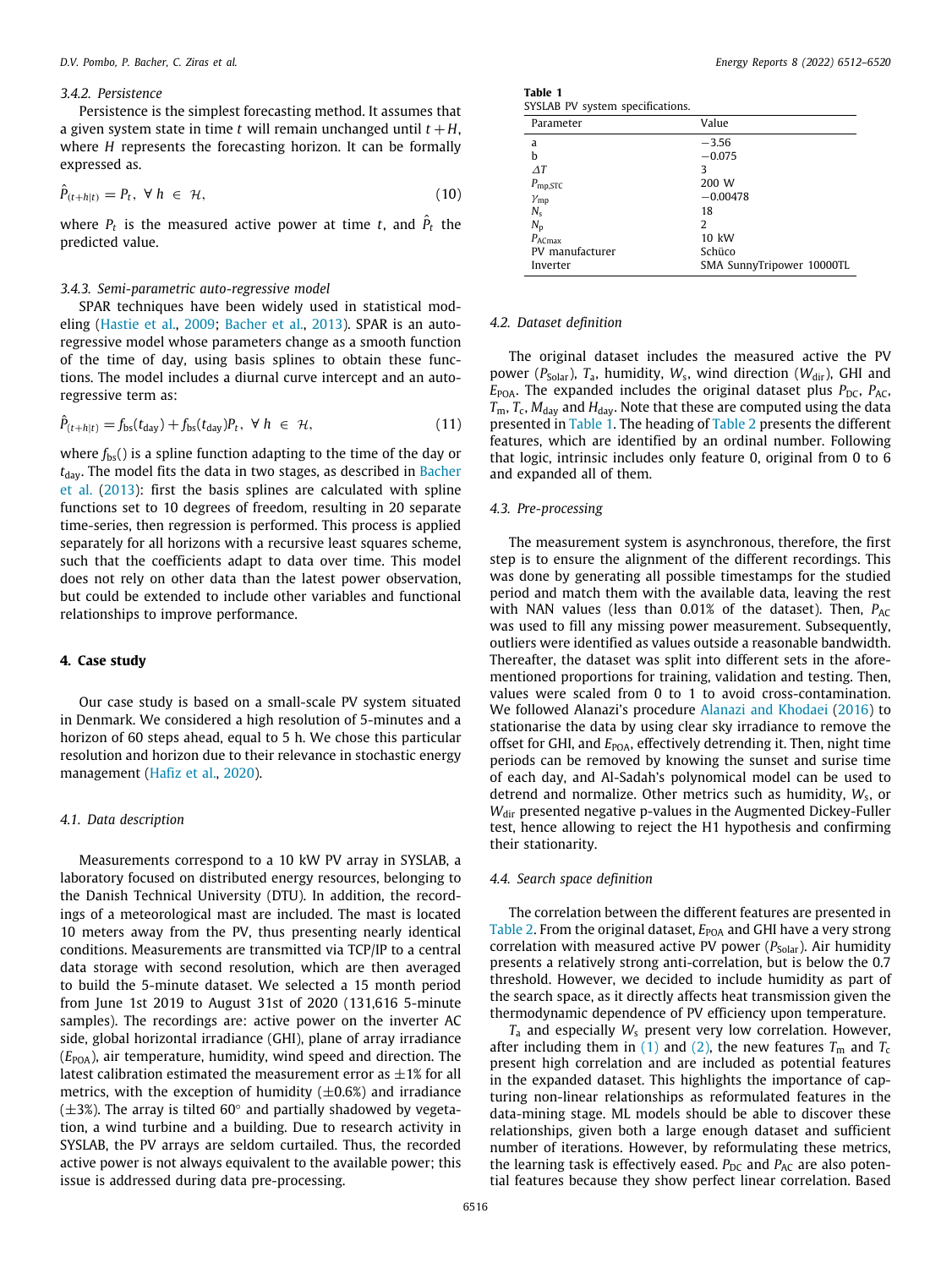#### *3.4.2. Persistence*

Persistence is the simplest forecasting method. It assumes that a given system state in time *t* will remain unchanged until  $t + H$ , where *H* represents the forecasting horizon. It can be formally expressed as.

$$
\hat{P}_{(t+h|t)} = P_t, \ \forall \ h \in \mathcal{H}, \tag{10}
$$

where  $P_t$  is the measured active power at time  $t$ , and  $\hat{P}_t$  the predicted value.

#### *3.4.3. Semi-parametric auto-regressive model*

SPAR techniques have been widely used in statistical modeling ([Hastie et al.](#page-9-31), [2009;](#page-9-31) [Bacher et al.,](#page-9-22) [2013](#page-9-22)). SPAR is an autoregressive model whose parameters change as a smooth function of the time of day, using basis splines to obtain these functions. The model includes a diurnal curve intercept and an autoregressive term as:

$$
\hat{P}_{(t+h|t)} = f_{\text{bs}}(t_{\text{day}}) + f_{\text{bs}}(t_{\text{day}})P_t, \ \forall \ h \in \mathcal{H}, \tag{11}
$$

where  $f_{\text{bs}}($ ) is a spline function adapting to the time of the day or  $t_{\rm{dav}}$ . The model fits the data in two stages, as described in [Bacher](#page-9-22) [et al.](#page-9-22) [\(2013](#page-9-22)): first the basis splines are calculated with spline functions set to 10 degrees of freedom, resulting in 20 separate time-series, then regression is performed. This process is applied separately for all horizons with a recursive least squares scheme, such that the coefficients adapt to data over time. This model does not rely on other data than the latest power observation, but could be extended to include other variables and functional relationships to improve performance.

#### **4. Case study**

Our case study is based on a small-scale PV system situated in Denmark. We considered a high resolution of 5-minutes and a horizon of 60 steps ahead, equal to 5 h. We chose this particular resolution and horizon due to their relevance in stochastic energy management ([Hafiz et al.](#page-9-18), [2020](#page-9-18)).

#### *4.1. Data description*

Measurements correspond to a 10 kW PV array in SYSLAB, a laboratory focused on distributed energy resources, belonging to the Danish Technical University (DTU). In addition, the recordings of a meteorological mast are included. The mast is located 10 meters away from the PV, thus presenting nearly identical conditions. Measurements are transmitted via TCP/IP to a central data storage with second resolution, which are then averaged to build the 5-minute dataset. We selected a 15 month period from June 1st 2019 to August 31st of 2020 (131,616 5-minute samples). The recordings are: active power on the inverter AC side, global horizontal irradiance (GHI), plane of array irradiance (*E*POA), air temperature, humidity, wind speed and direction. The latest calibration estimated the measurement error as  $\pm 1\%$  for all metrics, with the exception of humidity  $(\pm 0.6%)$  and irradiance  $(\pm 3)$ . The array is tilted 60 $^{\circ}$  and partially shadowed by vegetation, a wind turbine and a building. Due to research activity in SYSLAB, the PV arrays are seldom curtailed. Thus, the recorded active power is not always equivalent to the available power; this issue is addressed during data pre-processing.

| Table 1               |  |
|-----------------------|--|
| SYSLAB PV system spec |  |

<span id="page-5-0"></span>

| SYSLAB PV system specifications. |                           |
|----------------------------------|---------------------------|
| Parameter                        | Value                     |
| a                                | $-3.56$                   |
| b                                | $-0.075$                  |
| $\Delta T$                       | 3                         |
| $P_{\text{mp,STC}}$              | 200 W                     |
| $\gamma_{\rm mp}$                | $-0.00478$                |
| $N_{\rm s}$                      | 18                        |
| $N_{\rm p}$                      | 2                         |
| $P_{\text{ACmax}}$               | 10 kW                     |
| PV manufacturer                  | Schüco                    |
| Inverter                         | SMA SunnyTripower 10000TL |

#### *4.2. Dataset definition*

The original dataset includes the measured active the PV power ( $P_{\text{Solar}}$ ),  $T_a$ , humidity,  $W_s$ , wind direction ( $W_{\text{dir}}$ ), GHI and  $E_{POA}$ . The expanded includes the original dataset plus  $P_{DC}$ ,  $P_{AC}$ ,  $T_{\rm m}$ ,  $T_{\rm c}$ ,  $M_{\rm day}$  and  $H_{\rm day}$ . Note that these are computed using the data presented in [Table](#page-5-0) [1.](#page-5-0) The heading of [Table](#page-6-0) [2](#page-6-0) presents the different features, which are identified by an ordinal number. Following that logic, intrinsic includes only feature 0, original from 0 to 6 and expanded all of them.

#### *4.3. Pre-processing*

The measurement system is asynchronous, therefore, the first step is to ensure the alignment of the different recordings. This was done by generating all possible timestamps for the studied period and match them with the available data, leaving the rest with NAN values (less than 0.01% of the dataset). Then, *P<sub>AC</sub>* was used to fill any missing power measurement. Subsequently, outliers were identified as values outside a reasonable bandwidth. Thereafter, the dataset was split into different sets in the aforementioned proportions for training, validation and testing. Then, values were scaled from 0 to 1 to avoid cross-contamination. We followed Alanazi's procedure [Alanazi and Khodaei](#page-9-32) [\(2016\)](#page-9-32) to stationarise the data by using clear sky irradiance to remove the offset for GHI, and  $E_{\text{POA}}$ , effectively detrending it. Then, night time periods can be removed by knowing the sunset and surise time of each day, and Al-Sadah's polynomical model can be used to detrend and normalize. Other metrics such as humidity, *W*<sub>s</sub>, or *W*<sub>dir</sub> presented negative p-values in the Augmented Dickey-Fuller test, hence allowing to reject the H1 hypothesis and confirming their stationarity.

### *4.4. Search space definition*

The correlation between the different features are presented in [Table](#page-6-0) [2.](#page-6-0) From the original dataset,  $E_{\text{POA}}$  and GHI have a very strong correlation with measured active PV power  $(P_{\text{Solar}})$ . Air humidity presents a relatively strong anti-correlation, but is below the 0.7 threshold. However, we decided to include humidity as part of the search space, as it directly affects heat transmission given the thermodynamic dependence of PV efficiency upon temperature.

*T*<sup>a</sup> and especially *W*<sup>s</sup> present very low correlation. However, after including them in [\(1](#page-3-0)) and [\(2\)](#page-3-2), the new features  $T_m$  and  $T_c$ present high correlation and are included as potential features in the expanded dataset. This highlights the importance of capturing non-linear relationships as reformulated features in the data-mining stage. ML models should be able to discover these relationships, given both a large enough dataset and sufficient number of iterations. However, by reformulating these metrics, the learning task is effectively eased.  $P_{DC}$  and  $P_{AC}$  are also potential features because they show perfect linear correlation. Based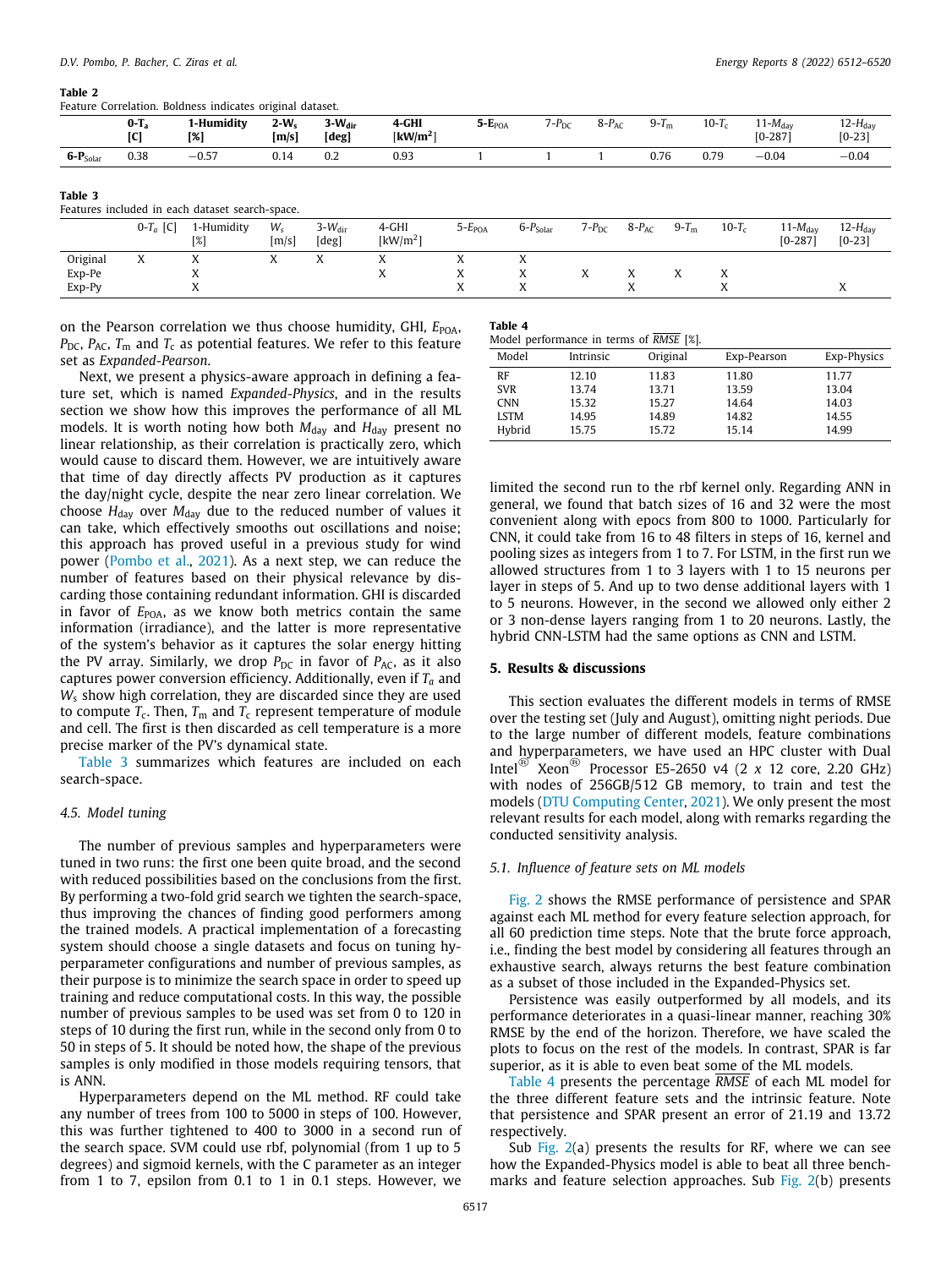#### **Table 2**

<span id="page-6-0"></span>Feature Correlation. Boldness indicates original dataset.

|               | $0-T_a$<br>ורז | ı-Humidity<br>[%] | $2-Ws$<br>[m/s] | $3-W_{dir}$<br>[deg] | 4-GHI<br>[kW/m <sup>2</sup> ] | $5 - EPOA$ | $7-P_{DC}$ | $8-P_{AC}$ | $9-Tm$ | $10-T_c$ | $11-M_{\text{day}}$<br>$[0-287]$ | $12-H_{\text{dav}}$<br>$[0-23]$ |
|---------------|----------------|-------------------|-----------------|----------------------|-------------------------------|------------|------------|------------|--------|----------|----------------------------------|---------------------------------|
| $6-P_{Solar}$ | 0.38           | $-0.57$           | 0.14            | 0.2                  | 0.93                          |            |            |            | 0.76   | 0.79     | $-0.04$                          | $-0.04$                         |

<span id="page-6-1"></span>Features included in each dataset search-space.

|          | $0-T_a$ [C]       | 1-Humidity<br>[%] | $W_{s}$<br>[m/s] | $3-W_{\text{dir}}$<br>[deg] | 4-GHI<br>$\left[\mathrm{kW/m^2}\right]$ | $5-EPOA$ | $6-P_{Solar}$ | $7-P_{DC}$ | $8-P_{AC}$ | 9- $T_{\rm m}$ | $10-T_c$  | $11-M_{\text{dav}}$<br>$[0-287]$ | $12-H_{\text{dav}}$<br>$[0-23]$ |
|----------|-------------------|-------------------|------------------|-----------------------------|-----------------------------------------|----------|---------------|------------|------------|----------------|-----------|----------------------------------|---------------------------------|
| Original | $\mathbf{v}$<br>A | $\lambda$         |                  | $\Lambda$                   | A                                       | A        | $\Lambda$     |            |            |                |           |                                  |                                 |
| Exp-Pe   |                   | $\Lambda$         |                  |                             | $\Lambda$                               | ́́       |               |            |            |                | $\Lambda$ |                                  |                                 |
| $Exp-PV$ |                   | $\lambda$         |                  |                             |                                         | ́́       |               |            |            |                |           |                                  | $\Lambda$                       |

on the Pearson correlation we thus choose humidity, GHI,  $E_{POA}$ ,  $P_{\text{DC}}$ ,  $P_{\text{AC}}$ ,  $T_{\text{m}}$  and  $T_{\text{C}}$  as potential features. We refer to this feature set as *Expanded-Pearson*.

Next, we present a physics-aware approach in defining a feature set, which is named *Expanded-Physics*, and in the results section we show how this improves the performance of all ML models. It is worth noting how both  $M_{\text{day}}$  and  $H_{\text{day}}$  present no linear relationship, as their correlation is practically zero, which would cause to discard them. However, we are intuitively aware that time of day directly affects PV production as it captures the day/night cycle, despite the near zero linear correlation. We choose  $H_{\text{day}}$  over  $M_{\text{day}}$  due to the reduced number of values it can take, which effectively smooths out oscillations and noise; this approach has proved useful in a previous study for wind power ([Pombo et al.,](#page-9-33) [2021](#page-9-33)). As a next step, we can reduce the number of features based on their physical relevance by discarding those containing redundant information. GHI is discarded in favor of *E*<sub>POA</sub>, as we know both metrics contain the same information (irradiance), and the latter is more representative of the system's behavior as it captures the solar energy hitting the PV array. Similarly, we drop  $P_{DC}$  in favor of  $P_{AC}$ , as it also captures power conversion efficiency. Additionally, even if *T<sup>a</sup>* and *W*<sup>s</sup> show high correlation, they are discarded since they are used to compute  $T_{\rm c}$ . Then,  $T_{\rm m}$  and  $T_{\rm c}$  represent temperature of module and cell. The first is then discarded as cell temperature is a more precise marker of the PV's dynamical state.

[Table](#page-6-1) [3](#page-6-1) summarizes which features are included on each search-space.

#### *4.5. Model tuning*

The number of previous samples and hyperparameters were tuned in two runs: the first one been quite broad, and the second with reduced possibilities based on the conclusions from the first. By performing a two-fold grid search we tighten the search-space, thus improving the chances of finding good performers among the trained models. A practical implementation of a forecasting system should choose a single datasets and focus on tuning hyperparameter configurations and number of previous samples, as their purpose is to minimize the search space in order to speed up training and reduce computational costs. In this way, the possible number of previous samples to be used was set from 0 to 120 in steps of 10 during the first run, while in the second only from 0 to 50 in steps of 5. It should be noted how, the shape of the previous samples is only modified in those models requiring tensors, that is ANN.

Hyperparameters depend on the ML method. RF could take any number of trees from 100 to 5000 in steps of 100. However, this was further tightened to 400 to 3000 in a second run of the search space. SVM could use rbf, polynomial (from 1 up to 5 degrees) and sigmoid kernels, with the C parameter as an integer from 1 to 7, epsilon from 0.1 to 1 in 0.1 steps. However, we

#### **Table 4**

<span id="page-6-2"></span>Model performance in terms of *RMSE* [%].

| $1.100$ and $1.0111$ $1.1111$ $1.01111$ $1.01111$ $1.01111$ $1.0111$<br>Model<br>Original<br>Intrinsic<br>Exp-Physics<br>Exp-Pearson |       |       |       |       |  |  |  |  |
|--------------------------------------------------------------------------------------------------------------------------------------|-------|-------|-------|-------|--|--|--|--|
|                                                                                                                                      |       |       |       |       |  |  |  |  |
| RF                                                                                                                                   | 12.10 | 11.83 | 11.80 | 11.77 |  |  |  |  |
| <b>SVR</b>                                                                                                                           | 13.74 | 13.71 | 13.59 | 13.04 |  |  |  |  |
| <b>CNN</b>                                                                                                                           | 15.32 | 15.27 | 14.64 | 14.03 |  |  |  |  |
| <b>LSTM</b>                                                                                                                          | 14.95 | 14.89 | 14.82 | 14.55 |  |  |  |  |
| Hybrid                                                                                                                               | 15.75 | 15.72 | 15.14 | 14.99 |  |  |  |  |

limited the second run to the rbf kernel only. Regarding ANN in general, we found that batch sizes of 16 and 32 were the most convenient along with epocs from 800 to 1000. Particularly for CNN, it could take from 16 to 48 filters in steps of 16, kernel and pooling sizes as integers from 1 to 7. For LSTM, in the first run we allowed structures from 1 to 3 layers with 1 to 15 neurons per layer in steps of 5. And up to two dense additional layers with 1 to 5 neurons. However, in the second we allowed only either 2 or 3 non-dense layers ranging from 1 to 20 neurons. Lastly, the hybrid CNN-LSTM had the same options as CNN and LSTM.

#### **5. Results & discussions**

This section evaluates the different models in terms of RMSE over the testing set (July and August), omitting night periods. Due to the large number of different models, feature combinations and hyperparameters, we have used an HPC cluster with Dual Intel® Xeon® Processor E5-2650 v4 (2 *x* 12 core, 2.20 GHz) with nodes of 256GB/512 GB memory, to train and test the models ([DTU Computing Center](#page-9-34), [2021](#page-9-34)). We only present the most relevant results for each model, along with remarks regarding the conducted sensitivity analysis.

#### *5.1. Influence of feature sets on ML models*

[Fig.](#page-7-0) [2](#page-7-0) shows the RMSE performance of persistence and SPAR against each ML method for every feature selection approach, for all 60 prediction time steps. Note that the brute force approach, i.e., finding the best model by considering all features through an exhaustive search, always returns the best feature combination as a subset of those included in the Expanded-Physics set.

Persistence was easily outperformed by all models, and its performance deteriorates in a quasi-linear manner, reaching 30% RMSE by the end of the horizon. Therefore, we have scaled the plots to focus on the rest of the models. In contrast, SPAR is far superior, as it is able to even beat some of the ML models.

[Table](#page-6-2) [4](#page-6-2) presents the percentage *RMSE* of each ML model for the three different feature sets and the intrinsic feature. Note that persistence and SPAR present an error of 21.19 and 13.72 respectively.

Sub [Fig.](#page-7-0)  $2(a)$  $2(a)$  presents the results for RF, where we can see how the Expanded-Physics model is able to beat all three benchmarks and feature selection approaches. Sub [Fig.](#page-7-0) [2](#page-7-0)(b) presents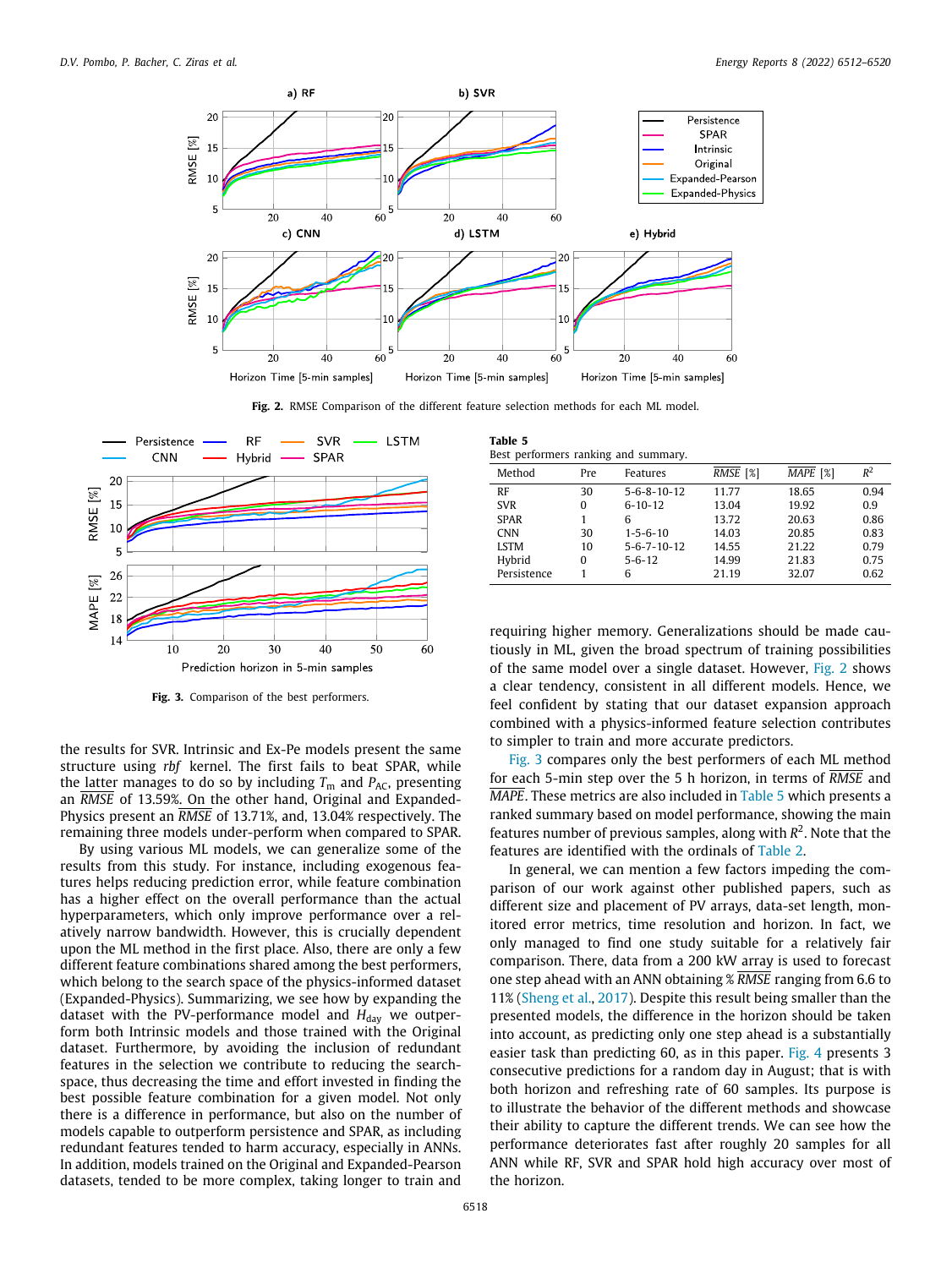

**Fig. 2.** RMSE Comparison of the different feature selection methods for each ML model.

<span id="page-7-0"></span>

**Fig. 3.** Comparison of the best performers.

<span id="page-7-1"></span>the results for SVR. Intrinsic and Ex-Pe models present the same structure using *rbf* kernel. The first fails to beat SPAR, while the latter manages to do so by including  $T_m$  and  $P_{AC}$ , presenting an *RMSE* of 13.59%. On the other hand, Original and Expanded-Physics present an *RMSE* of 13.71%, and, 13.04% respectively. The remaining three models under-perform when compared to SPAR.

By using various ML models, we can generalize some of the results from this study. For instance, including exogenous features helps reducing prediction error, while feature combination has a higher effect on the overall performance than the actual hyperparameters, which only improve performance over a relatively narrow bandwidth. However, this is crucially dependent upon the ML method in the first place. Also, there are only a few different feature combinations shared among the best performers, which belong to the search space of the physics-informed dataset (Expanded-Physics). Summarizing, we see how by expanding the dataset with the PV-performance model and  $H_{day}$  we outperform both Intrinsic models and those trained with the Original dataset. Furthermore, by avoiding the inclusion of redundant features in the selection we contribute to reducing the searchspace, thus decreasing the time and effort invested in finding the best possible feature combination for a given model. Not only there is a difference in performance, but also on the number of models capable to outperform persistence and SPAR, as including redundant features tended to harm accuracy, especially in ANNs. In addition, models trained on the Original and Expanded-Pearson datasets, tended to be more complex, taking longer to train and

<span id="page-7-2"></span>

| Table 5                              |  |  |
|--------------------------------------|--|--|
| Best performers ranking and summary. |  |  |

| Method      | Pre | Features              | RMSE <sup>[%]</sup> | MAPE [%] | $R^2$ |
|-------------|-----|-----------------------|---------------------|----------|-------|
| RF          | 30  | $5 - 6 - 8 - 10 - 12$ | 11.77               | 18.65    | 0.94  |
| <b>SVR</b>  | 0   | $6 - 10 - 12$         | 13.04               | 19.92    | 0.9   |
| <b>SPAR</b> |     | 6                     | 13.72               | 20.63    | 0.86  |
| <b>CNN</b>  | 30  | $1 - 5 - 6 - 10$      | 14.03               | 20.85    | 0.83  |
| <b>LSTM</b> | 10  | $5 - 6 - 7 - 10 - 12$ | 14.55               | 21.22    | 0.79  |
| Hybrid      | 0   | $5 - 6 - 12$          | 14.99               | 21.83    | 0.75  |
| Persistence |     | 6                     | 21.19               | 32.07    | 0.62  |

requiring higher memory. Generalizations should be made cautiously in ML, given the broad spectrum of training possibilities of the same model over a single dataset. However, [Fig.](#page-7-0) [2](#page-7-0) shows a clear tendency, consistent in all different models. Hence, we feel confident by stating that our dataset expansion approach combined with a physics-informed feature selection contributes to simpler to train and more accurate predictors.

[Fig.](#page-7-1) [3](#page-7-1) compares only the best performers of each ML method for each 5-min step over the 5 h horizon, in terms of *RMSE* and *MAPE*. These metrics are also included in [Table](#page-7-2) [5](#page-7-2) which presents a ranked summary based on model performance, showing the main features number of previous samples, along with *R* 2 . Note that the features are identified with the ordinals of [Table](#page-6-0) [2.](#page-6-0)

In general, we can mention a few factors impeding the comparison of our work against other published papers, such as different size and placement of PV arrays, data-set length, monitored error metrics, time resolution and horizon. In fact, we only managed to find one study suitable for a relatively fair comparison. There, data from a 200 kW array is used to forecast one step ahead with an ANN obtaining % *RMSE* ranging from 6.6 to 11% ([Sheng et al.](#page-9-35), [2017](#page-9-35)). Despite this result being smaller than the presented models, the difference in the horizon should be taken into account, as predicting only one step ahead is a substantially easier task than predicting 60, as in this paper. [Fig.](#page-8-0) [4](#page-8-0) presents 3 consecutive predictions for a random day in August; that is with both horizon and refreshing rate of 60 samples. Its purpose is to illustrate the behavior of the different methods and showcase their ability to capture the different trends. We can see how the performance deteriorates fast after roughly 20 samples for all ANN while RF, SVR and SPAR hold high accuracy over most of the horizon.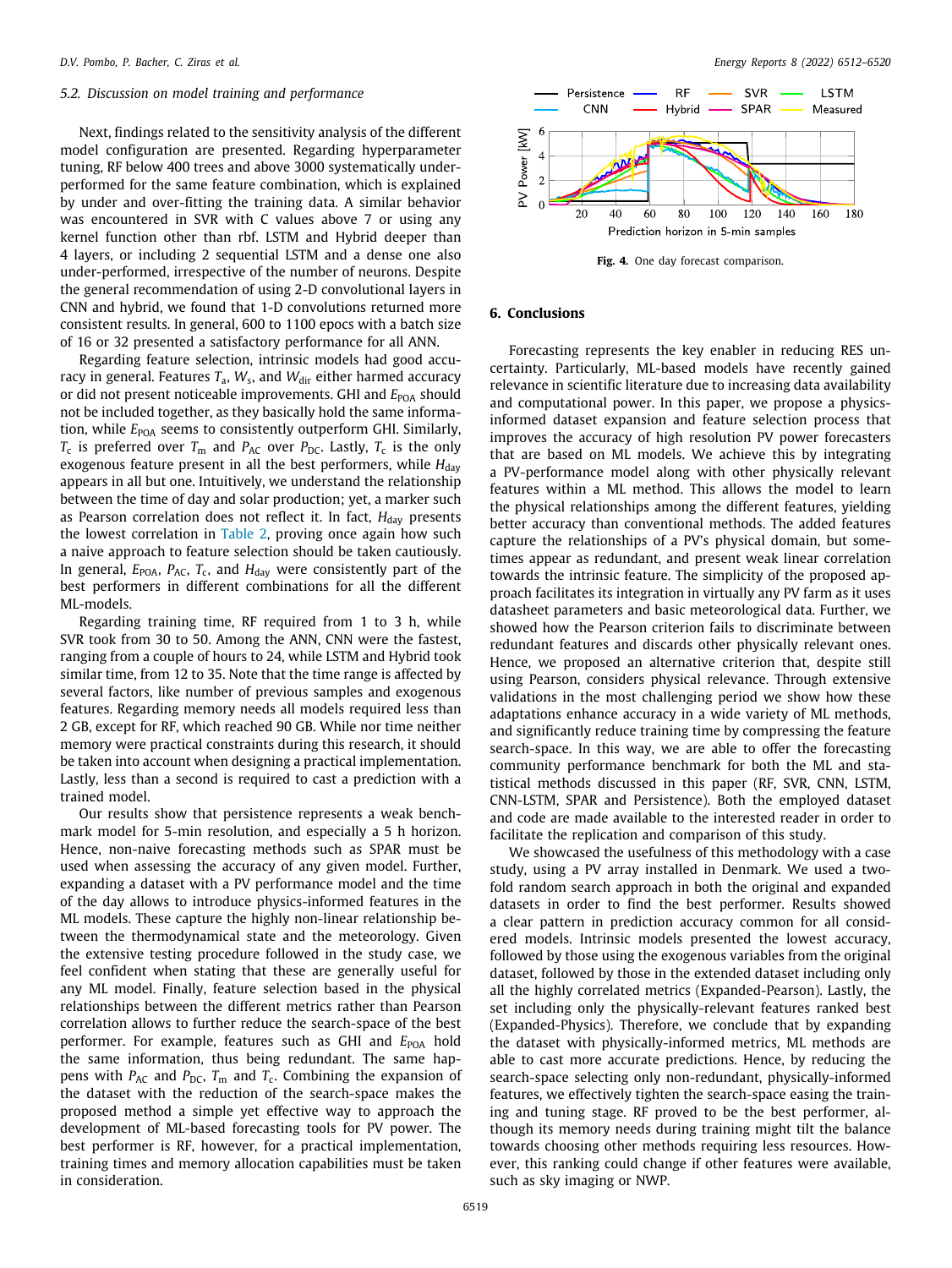#### *5.2. Discussion on model training and performance*

Next, findings related to the sensitivity analysis of the different model configuration are presented. Regarding hyperparameter tuning, RF below 400 trees and above 3000 systematically underperformed for the same feature combination, which is explained by under and over-fitting the training data. A similar behavior was encountered in SVR with C values above 7 or using any kernel function other than rbf. LSTM and Hybrid deeper than 4 layers, or including 2 sequential LSTM and a dense one also under-performed, irrespective of the number of neurons. Despite the general recommendation of using 2-D convolutional layers in CNN and hybrid, we found that 1-D convolutions returned more consistent results. In general, 600 to 1100 epocs with a batch size of 16 or 32 presented a satisfactory performance for all ANN.

Regarding feature selection, intrinsic models had good accuracy in general. Features T<sub>a</sub>, W<sub>s</sub>, and W<sub>dir</sub> either harmed accuracy or did not present noticeable improvements. GHI and *E*<sub>POA</sub> should not be included together, as they basically hold the same information, while  $E_{\text{POA}}$  seems to consistently outperform GHI. Similarly,  $T_{\rm c}$  is preferred over  $T_{\rm m}$  and  $P_{\rm AC}$  over  $P_{\rm DC}$ . Lastly,  $T_{\rm c}$  is the only exogenous feature present in all the best performers, while *H*<sub>day</sub> appears in all but one. Intuitively, we understand the relationship between the time of day and solar production; yet, a marker such as Pearson correlation does not reflect it. In fact, H<sub>day</sub> presents the lowest correlation in [Table](#page-6-0) [2](#page-6-0), proving once again how such a naive approach to feature selection should be taken cautiously. In general, *E*POA, *P*AC, *T*<sup>c</sup> , and *H*day were consistently part of the best performers in different combinations for all the different ML-models.

Regarding training time, RF required from 1 to 3 h, while SVR took from 30 to 50. Among the ANN, CNN were the fastest, ranging from a couple of hours to 24, while LSTM and Hybrid took similar time, from 12 to 35. Note that the time range is affected by several factors, like number of previous samples and exogenous features. Regarding memory needs all models required less than 2 GB, except for RF, which reached 90 GB. While nor time neither memory were practical constraints during this research, it should be taken into account when designing a practical implementation. Lastly, less than a second is required to cast a prediction with a trained model.

Our results show that persistence represents a weak benchmark model for 5-min resolution, and especially a 5 h horizon. Hence, non-naive forecasting methods such as SPAR must be used when assessing the accuracy of any given model. Further, expanding a dataset with a PV performance model and the time of the day allows to introduce physics-informed features in the ML models. These capture the highly non-linear relationship between the thermodynamical state and the meteorology. Given the extensive testing procedure followed in the study case, we feel confident when stating that these are generally useful for any ML model. Finally, feature selection based in the physical relationships between the different metrics rather than Pearson correlation allows to further reduce the search-space of the best performer. For example, features such as GHI and  $E_{POA}$  hold the same information, thus being redundant. The same happens with  $P_{\text{AC}}$  and  $P_{\text{DC}}$ ,  $T_{\text{m}}$  and  $T_{\text{c}}$ . Combining the expansion of the dataset with the reduction of the search-space makes the proposed method a simple yet effective way to approach the development of ML-based forecasting tools for PV power. The best performer is RF, however, for a practical implementation, training times and memory allocation capabilities must be taken in consideration.



**Fig. 4.** One day forecast comparison.

# <span id="page-8-0"></span>**6. Conclusions**

Forecasting represents the key enabler in reducing RES uncertainty. Particularly, ML-based models have recently gained relevance in scientific literature due to increasing data availability and computational power. In this paper, we propose a physicsinformed dataset expansion and feature selection process that improves the accuracy of high resolution PV power forecasters that are based on ML models. We achieve this by integrating a PV-performance model along with other physically relevant features within a ML method. This allows the model to learn the physical relationships among the different features, yielding better accuracy than conventional methods. The added features capture the relationships of a PV's physical domain, but sometimes appear as redundant, and present weak linear correlation towards the intrinsic feature. The simplicity of the proposed approach facilitates its integration in virtually any PV farm as it uses datasheet parameters and basic meteorological data. Further, we showed how the Pearson criterion fails to discriminate between redundant features and discards other physically relevant ones. Hence, we proposed an alternative criterion that, despite still using Pearson, considers physical relevance. Through extensive validations in the most challenging period we show how these adaptations enhance accuracy in a wide variety of ML methods, and significantly reduce training time by compressing the feature search-space. In this way, we are able to offer the forecasting community performance benchmark for both the ML and statistical methods discussed in this paper (RF, SVR, CNN, LSTM, CNN-LSTM, SPAR and Persistence). Both the employed dataset and code are made available to the interested reader in order to facilitate the replication and comparison of this study.

We showcased the usefulness of this methodology with a case study, using a PV array installed in Denmark. We used a twofold random search approach in both the original and expanded datasets in order to find the best performer. Results showed a clear pattern in prediction accuracy common for all considered models. Intrinsic models presented the lowest accuracy, followed by those using the exogenous variables from the original dataset, followed by those in the extended dataset including only all the highly correlated metrics (Expanded-Pearson). Lastly, the set including only the physically-relevant features ranked best (Expanded-Physics). Therefore, we conclude that by expanding the dataset with physically-informed metrics, ML methods are able to cast more accurate predictions. Hence, by reducing the search-space selecting only non-redundant, physically-informed features, we effectively tighten the search-space easing the training and tuning stage. RF proved to be the best performer, although its memory needs during training might tilt the balance towards choosing other methods requiring less resources. However, this ranking could change if other features were available, such as sky imaging or NWP.